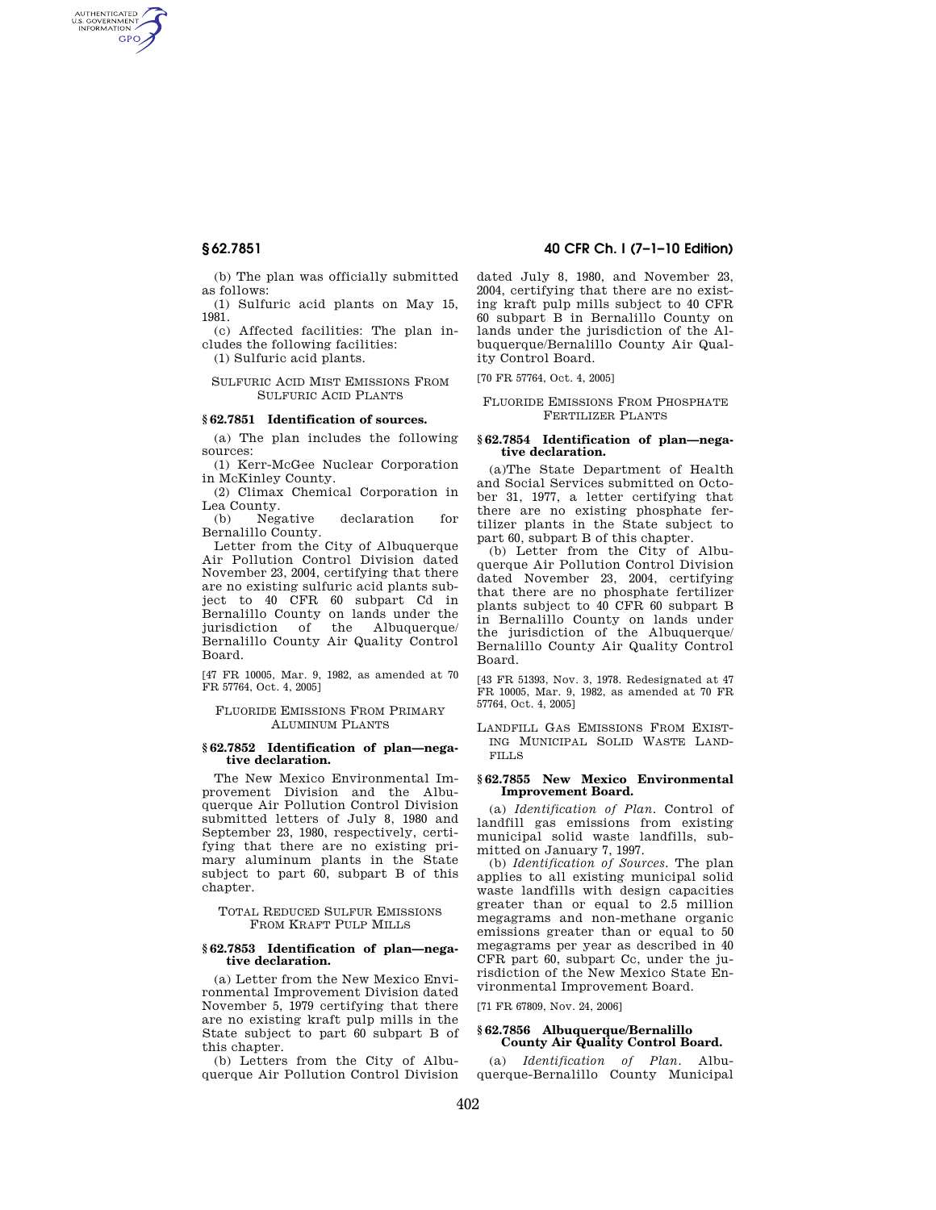AUTHENTICATED<br>U.S. GOVERNMENT<br>INFORMATION **GPO** 

> (b) The plan was officially submitted as follows:

> (1) Sulfuric acid plants on May 15, 1981.

(c) Affected facilities: The plan includes the following facilities:

(1) Sulfuric acid plants.

## SULFURIC ACID MIST EMISSIONS FROM SULFURIC ACID PLANTS

## **§ 62.7851 Identification of sources.**

(a) The plan includes the following sources:

(1) Kerr-McGee Nuclear Corporation in McKinley County.

(2) Climax Chemical Corporation in Lea County.

(b) Negative declaration for Bernalillo County.

Letter from the City of Albuquerque Air Pollution Control Division dated November 23, 2004, certifying that there are no existing sulfuric acid plants subject to 40 CFR 60 subpart Cd in Bernalillo County on lands under the jurisdiction of the Albuquerque/ Bernalillo County Air Quality Control Board.

[47 FR 10005, Mar. 9, 1982, as amended at 70 FR 57764, Oct. 4, 2005]

# FLUORIDE EMISSIONS FROM PRIMARY ALUMINUM PLANTS

#### **§ 62.7852 Identification of plan—negative declaration.**

The New Mexico Environmental Improvement Division and the Albuquerque Air Pollution Control Division submitted letters of July 8, 1980 and September 23, 1980, respectively, certifying that there are no existing primary aluminum plants in the State subject to part 60, subpart B of this chapter.

TOTAL REDUCED SULFUR EMISSIONS FROM KRAFT PULP MILLS

## **§ 62.7853 Identification of plan—negative declaration.**

(a) Letter from the New Mexico Environmental Improvement Division dated November 5, 1979 certifying that there are no existing kraft pulp mills in the State subject to part 60 subpart B of this chapter.

(b) Letters from the City of Albuquerque Air Pollution Control Division

# **§ 62.7851 40 CFR Ch. I (7–1–10 Edition)**

dated July 8, 1980, and November 23, 2004, certifying that there are no existing kraft pulp mills subject to 40 CFR 60 subpart B in Bernalillo County on lands under the jurisdiction of the Albuquerque/Bernalillo County Air Quality Control Board.

[70 FR 57764, Oct. 4, 2005]

FLUORIDE EMISSIONS FROM PHOSPHATE FERTILIZER PLANTS

## **§ 62.7854 Identification of plan—negative declaration.**

(a)The State Department of Health and Social Services submitted on October 31, 1977, a letter certifying that there are no existing phosphate fertilizer plants in the State subject to part 60, subpart B of this chapter.

(b) Letter from the City of Albuquerque Air Pollution Control Division dated November 23, 2004, certifying that there are no phosphate fertilizer plants subject to 40 CFR 60 subpart B in Bernalillo County on lands under the jurisdiction of the Albuquerque/ Bernalillo County Air Quality Control Board.

[43 FR 51393, Nov. 3, 1978. Redesignated at 47 FR 10005, Mar. 9, 1982, as amended at 70 FR 57764, Oct. 4, 2005]

LANDFILL GAS EMISSIONS FROM EXIST-ING MUNICIPAL SOLID WASTE LAND-FILLS

## **§ 62.7855 New Mexico Environmental Improvement Board.**

(a) *Identification of Plan.* Control of landfill gas emissions from existing municipal solid waste landfills, submitted on January 7, 1997.

(b) *Identification of Sources.* The plan applies to all existing municipal solid waste landfills with design capacities greater than or equal to 2.5 million megagrams and non-methane organic emissions greater than or equal to 50 megagrams per year as described in 40 CFR part 60, subpart Cc, under the jurisdiction of the New Mexico State Environmental Improvement Board.

[71 FR 67809, Nov. 24, 2006]

# **§ 62.7856 Albuquerque/Bernalillo County Air Quality Control Board.**

*Identification of Plan.* Albuquerque-Bernalillo County Municipal